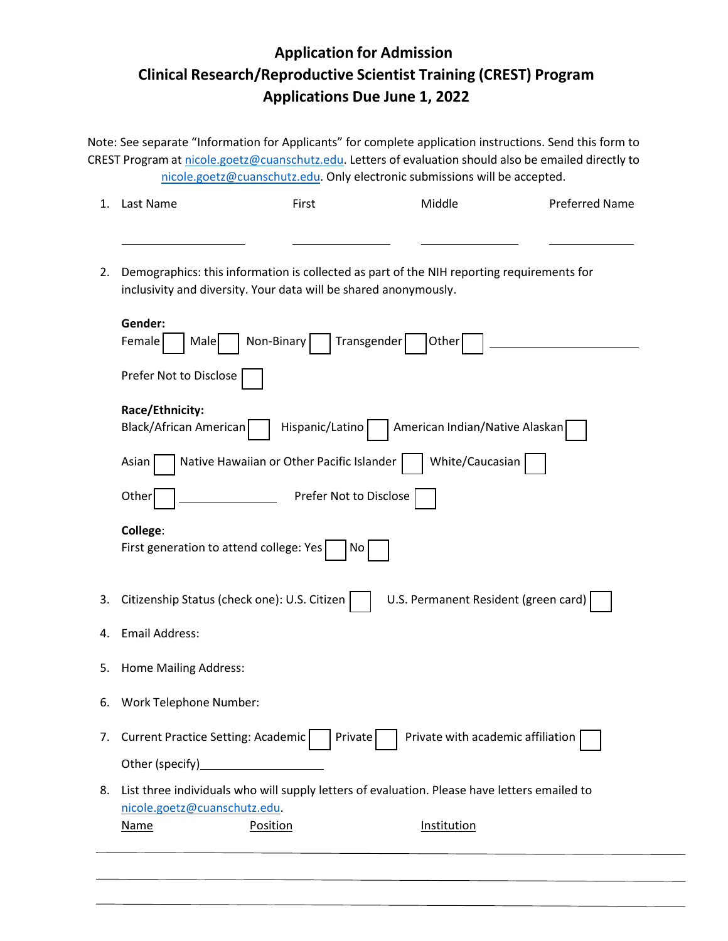## **Application for Admission Clinical Research/Reproductive Scientist Training (CREST) Program Applications Due June 1, 2022**

Note: See separate "Information for Applicants" for complete application instructions. Send this form to CREST Program at [nicole.goetz@cuanschutz.edu.](mailto:nicole.goetz@cuanschutz.edu) Letters of evaluation should also be emailed directly to [nicole.goetz@cuanschutz.edu.](mailto:nicole.goetz@cuanschutz.edu) Only electronic submissions will be accepted.

| 1. | Last Name                                                                                                                                                                                                                        | First                  | Middle | <b>Preferred Name</b> |  |
|----|----------------------------------------------------------------------------------------------------------------------------------------------------------------------------------------------------------------------------------|------------------------|--------|-----------------------|--|
|    |                                                                                                                                                                                                                                  |                        |        |                       |  |
| 2. | Demographics: this information is collected as part of the NIH reporting requirements for<br>inclusivity and diversity. Your data will be shared anonymously.<br>Gender:<br>Transgender<br>Female<br>Non-Binary<br>Other<br>Male |                        |        |                       |  |
|    |                                                                                                                                                                                                                                  |                        |        |                       |  |
|    | Prefer Not to Disclose<br>Race/Ethnicity:<br>American Indian/Native Alaskan<br>Black/African American<br>Hispanic/Latino<br>White/Caucasian<br>Native Hawaiian or Other Pacific Islander<br>Asian                                |                        |        |                       |  |
|    |                                                                                                                                                                                                                                  |                        |        |                       |  |
|    |                                                                                                                                                                                                                                  |                        |        |                       |  |
|    | Other                                                                                                                                                                                                                            | Prefer Not to Disclose |        |                       |  |

**College**:

| 3. Citizenship Status (check one): U.S. Citizen U.S. Permanent Resident (green card) |  |
|--------------------------------------------------------------------------------------|--|

- 4. Email Address:
- 5. Home Mailing Address:

First generation to attend college: Yes  $\vert$  No

- 6. Work Telephone Number:
- 7. Current Practice Setting: Academic Private Private with academic affiliation Other (specify)
- 8. List three individuals who will supply letters of evaluation. Please have letters emailed to [nicole.goetz@cuanschutz.edu.](mailto:nicole.goetz@cuanschutz.edu)

Name Position **Position Institution**